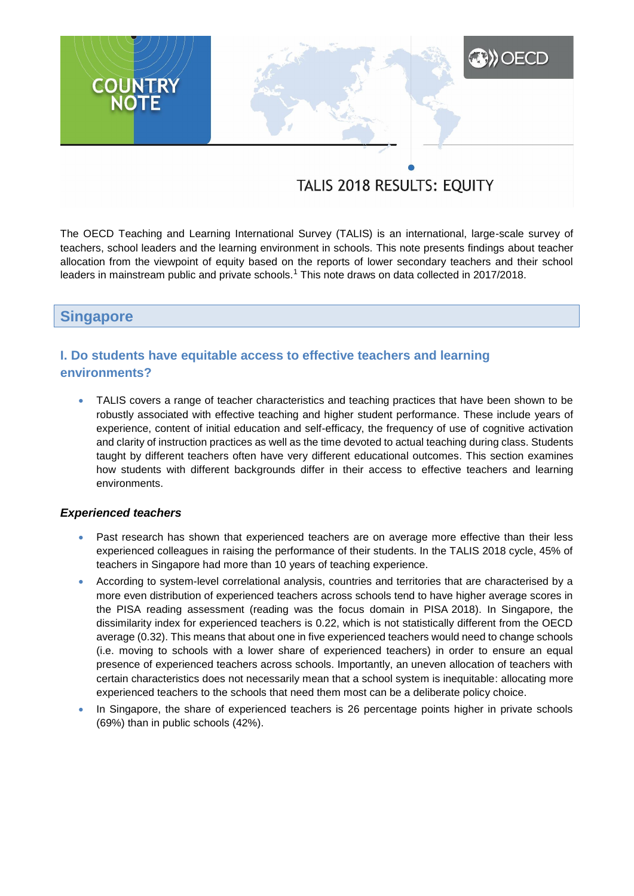# **XXX** OECD **COUNTRY**<br>NOTE

# TALIS 2018 RESULTS: EQUITY

The OECD Teaching and Learning International Survey (TALIS) is an international, large-scale survey of teachers, school leaders and the learning environment in schools. This note presents findings about teacher allocation from the viewpoint of equity based on the reports of lower secondary teachers and their school leaders in mainstream public and private schools.<sup>1</sup> This note draws on data collected in 2017/2018.

# **Singapore**

# **I. Do students have equitable access to effective teachers and learning environments?**

 TALIS covers a range of teacher characteristics and teaching practices that have been shown to be robustly associated with effective teaching and higher student performance. These include years of experience, content of initial education and self-efficacy, the frequency of use of cognitive activation and clarity of instruction practices as well as the time devoted to actual teaching during class. Students taught by different teachers often have very different educational outcomes. This section examines how students with different backgrounds differ in their access to effective teachers and learning environments.

#### *Experienced teachers*

- Past research has shown that experienced teachers are on average more effective than their less experienced colleagues in raising the performance of their students. In the TALIS 2018 cycle, 45% of teachers in Singapore had more than 10 years of teaching experience.
- According to system-level correlational analysis, countries and territories that are characterised by a more even distribution of experienced teachers across schools tend to have higher average scores in the PISA reading assessment (reading was the focus domain in PISA 2018). In Singapore, the dissimilarity index for experienced teachers is 0.22, which is not statistically different from the OECD average (0.32). This means that about one in five experienced teachers would need to change schools (i.e. moving to schools with a lower share of experienced teachers) in order to ensure an equal presence of experienced teachers across schools. Importantly, an uneven allocation of teachers with certain characteristics does not necessarily mean that a school system is inequitable: allocating more experienced teachers to the schools that need them most can be a deliberate policy choice.
- In Singapore, the share of experienced teachers is 26 percentage points higher in private schools (69%) than in public schools (42%).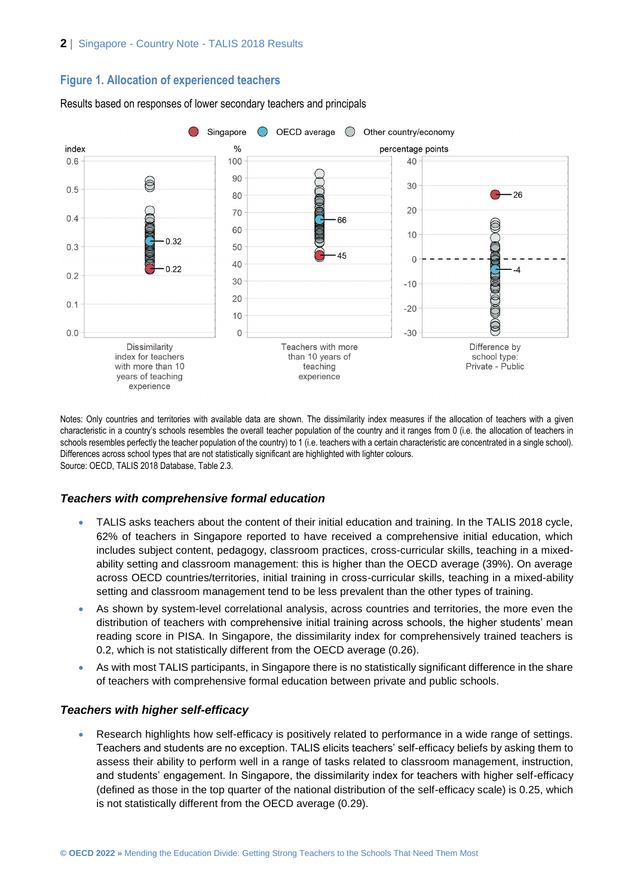### **Figure 1. Allocation of experienced teachers**



Results based on responses of lower secondary teachers and principals

Notes: Only countries and territories with available data are shown. The dissimilarity index measures if the allocation of teachers with a given characteristic in a country's schools resembles the overall teacher population of the country and it ranges from 0 (i.e. the allocation of teachers in schools resembles perfectly the teacher population of the country) to 1 (i.e. teachers with a certain characteristic are concentrated in a single school). Differences across school types that are not statistically significant are highlighted with lighter colours. Source: OECD, TALIS 2018 Database, Table 2.3.

#### *Teachers with comprehensive formal education*

- TALIS asks teachers about the content of their initial education and training. In the TALIS 2018 cycle, 62% of teachers in Singapore reported to have received a comprehensive initial education, which includes subject content, pedagogy, classroom practices, cross-curricular skills, teaching in a mixedability setting and classroom management: this is higher than the OECD average (39%). On average across OECD countries/territories, initial training in cross-curricular skills, teaching in a mixed-ability setting and classroom management tend to be less prevalent than the other types of training.
- As shown by system-level correlational analysis, across countries and territories, the more even the distribution of teachers with comprehensive initial training across schools, the higher students' mean reading score in PISA. In Singapore, the dissimilarity index for comprehensively trained teachers is 0.2, which is not statistically different from the OECD average (0.26).
- As with most TALIS participants, in Singapore there is no statistically significant difference in the share of teachers with comprehensive formal education between private and public schools.

#### *Teachers with higher self-efficacy*

 Research highlights how self-efficacy is positively related to performance in a wide range of settings. Teachers and students are no exception. TALIS elicits teachers' self-efficacy beliefs by asking them to assess their ability to perform well in a range of tasks related to classroom management, instruction, and students' engagement. In Singapore, the dissimilarity index for teachers with higher self-efficacy (defined as those in the top quarter of the national distribution of the self-efficacy scale) is 0.25, which is not statistically different from the OECD average (0.29).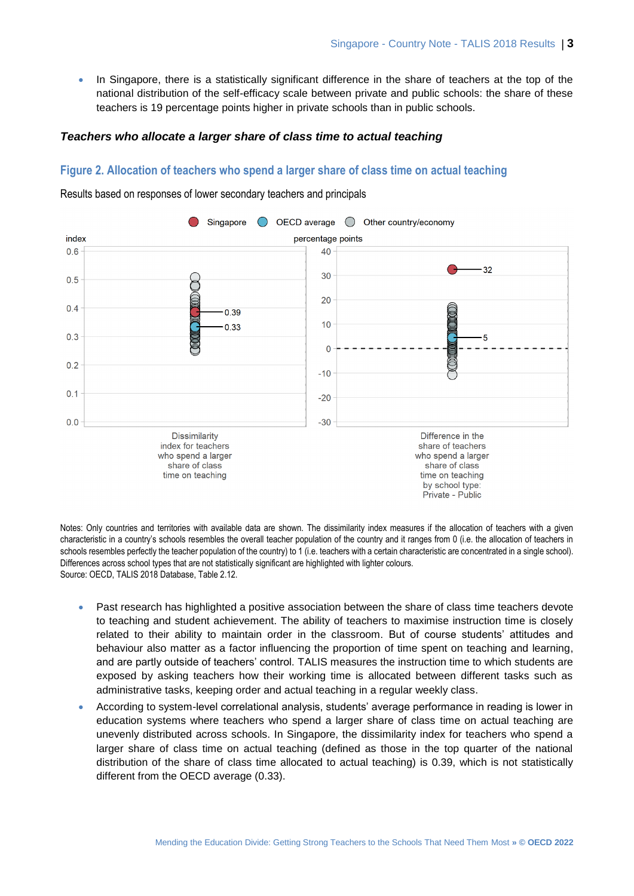• In Singapore, there is a statistically significant difference in the share of teachers at the top of the national distribution of the self-efficacy scale between private and public schools: the share of these teachers is 19 percentage points higher in private schools than in public schools.

#### *Teachers who allocate a larger share of class time to actual teaching*

#### **Figure 2. Allocation of teachers who spend a larger share of class time on actual teaching**

Results based on responses of lower secondary teachers and principals



Notes: Only countries and territories with available data are shown. The dissimilarity index measures if the allocation of teachers with a given characteristic in a country's schools resembles the overall teacher population of the country and it ranges from 0 (i.e. the allocation of teachers in schools resembles perfectly the teacher population of the country) to 1 (i.e. teachers with a certain characteristic are concentrated in a single school). Differences across school types that are not statistically significant are highlighted with lighter colours. Source: OECD, TALIS 2018 Database, Table 2.12.

- Past research has highlighted a positive association between the share of class time teachers devote to teaching and student achievement. The ability of teachers to maximise instruction time is closely related to their ability to maintain order in the classroom. But of course students' attitudes and behaviour also matter as a factor influencing the proportion of time spent on teaching and learning, and are partly outside of teachers' control. TALIS measures the instruction time to which students are exposed by asking teachers how their working time is allocated between different tasks such as administrative tasks, keeping order and actual teaching in a regular weekly class.
- According to system-level correlational analysis, students' average performance in reading is lower in education systems where teachers who spend a larger share of class time on actual teaching are unevenly distributed across schools. In Singapore, the dissimilarity index for teachers who spend a larger share of class time on actual teaching (defined as those in the top quarter of the national distribution of the share of class time allocated to actual teaching) is 0.39, which is not statistically different from the OECD average (0.33).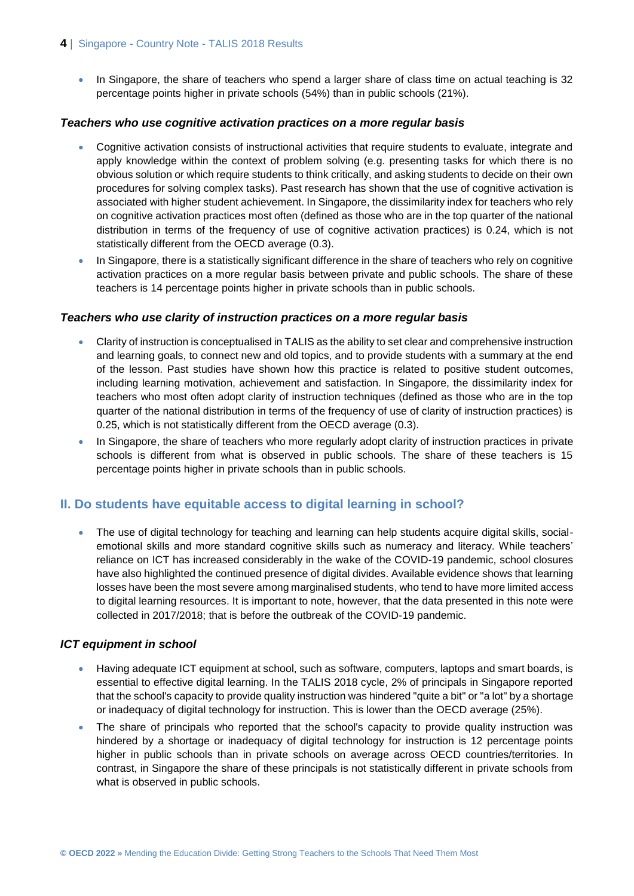#### **4** | Singapore - Country Note - TALIS 2018 Results

• In Singapore, the share of teachers who spend a larger share of class time on actual teaching is 32 percentage points higher in private schools (54%) than in public schools (21%).

#### *Teachers who use cognitive activation practices on a more regular basis*

- Cognitive activation consists of instructional activities that require students to evaluate, integrate and apply knowledge within the context of problem solving (e.g. presenting tasks for which there is no obvious solution or which require students to think critically, and asking students to decide on their own procedures for solving complex tasks). Past research has shown that the use of cognitive activation is associated with higher student achievement. In Singapore, the dissimilarity index for teachers who rely on cognitive activation practices most often (defined as those who are in the top quarter of the national distribution in terms of the frequency of use of cognitive activation practices) is 0.24, which is not statistically different from the OECD average (0.3).
- In Singapore, there is a statistically significant difference in the share of teachers who rely on cognitive activation practices on a more regular basis between private and public schools. The share of these teachers is 14 percentage points higher in private schools than in public schools.

#### *Teachers who use clarity of instruction practices on a more regular basis*

- Clarity of instruction is conceptualised in TALIS as the ability to set clear and comprehensive instruction and learning goals, to connect new and old topics, and to provide students with a summary at the end of the lesson. Past studies have shown how this practice is related to positive student outcomes, including learning motivation, achievement and satisfaction. In Singapore, the dissimilarity index for teachers who most often adopt clarity of instruction techniques (defined as those who are in the top quarter of the national distribution in terms of the frequency of use of clarity of instruction practices) is 0.25, which is not statistically different from the OECD average (0.3).
- In Singapore, the share of teachers who more regularly adopt clarity of instruction practices in private schools is different from what is observed in public schools. The share of these teachers is 15 percentage points higher in private schools than in public schools.

## **II. Do students have equitable access to digital learning in school?**

• The use of digital technology for teaching and learning can help students acquire digital skills, socialemotional skills and more standard cognitive skills such as numeracy and literacy. While teachers' reliance on ICT has increased considerably in the wake of the COVID-19 pandemic, school closures have also highlighted the continued presence of digital divides. Available evidence shows that learning losses have been the most severe among marginalised students, who tend to have more limited access to digital learning resources. It is important to note, however, that the data presented in this note were collected in 2017/2018; that is before the outbreak of the COVID-19 pandemic.

#### *ICT equipment in school*

- Having adequate ICT equipment at school, such as software, computers, laptops and smart boards, is essential to effective digital learning. In the TALIS 2018 cycle, 2% of principals in Singapore reported that the school's capacity to provide quality instruction was hindered "quite a bit" or "a lot" by a shortage or inadequacy of digital technology for instruction. This is lower than the OECD average (25%).
- The share of principals who reported that the school's capacity to provide quality instruction was hindered by a shortage or inadequacy of digital technology for instruction is 12 percentage points higher in public schools than in private schools on average across OECD countries/territories. In contrast, in Singapore the share of these principals is not statistically different in private schools from what is observed in public schools.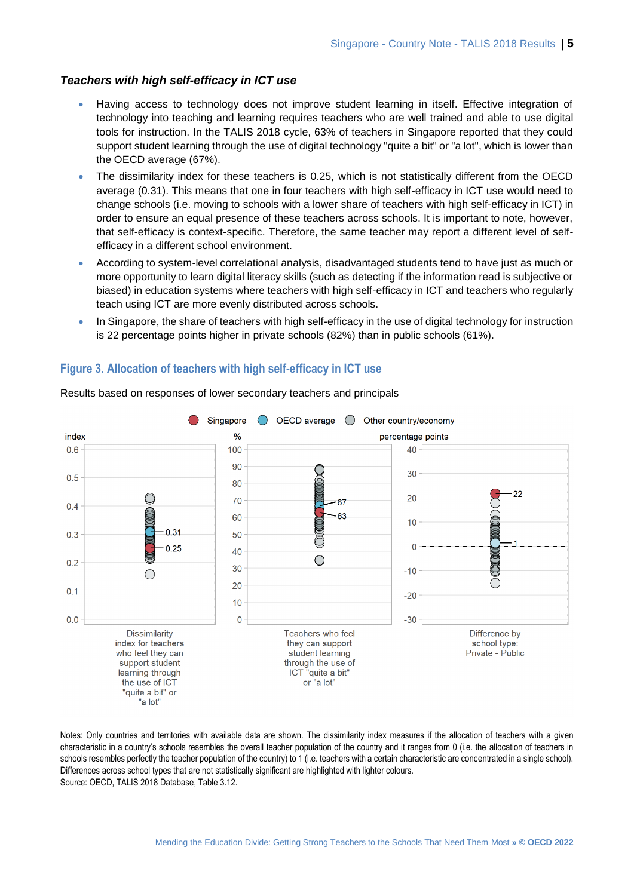#### *Teachers with high self-efficacy in ICT use*

- Having access to technology does not improve student learning in itself. Effective integration of technology into teaching and learning requires teachers who are well trained and able to use digital tools for instruction. In the TALIS 2018 cycle, 63% of teachers in Singapore reported that they could support student learning through the use of digital technology "quite a bit" or "a lot", which is lower than the OECD average (67%).
- The dissimilarity index for these teachers is 0.25, which is not statistically different from the OECD average (0.31). This means that one in four teachers with high self-efficacy in ICT use would need to change schools (i.e. moving to schools with a lower share of teachers with high self-efficacy in ICT) in order to ensure an equal presence of these teachers across schools. It is important to note, however, that self-efficacy is context-specific. Therefore, the same teacher may report a different level of selfefficacy in a different school environment.
- According to system-level correlational analysis, disadvantaged students tend to have just as much or more opportunity to learn digital literacy skills (such as detecting if the information read is subjective or biased) in education systems where teachers with high self-efficacy in ICT and teachers who regularly teach using ICT are more evenly distributed across schools.
- In Singapore, the share of teachers with high self-efficacy in the use of digital technology for instruction is 22 percentage points higher in private schools (82%) than in public schools (61%).

#### **Figure 3. Allocation of teachers with high self-efficacy in ICT use**



Results based on responses of lower secondary teachers and principals

Notes: Only countries and territories with available data are shown. The dissimilarity index measures if the allocation of teachers with a given characteristic in a country's schools resembles the overall teacher population of the country and it ranges from 0 (i.e. the allocation of teachers in schools resembles perfectly the teacher population of the country) to 1 (i.e. teachers with a certain characteristic are concentrated in a single school). Differences across school types that are not statistically significant are highlighted with lighter colours. Source: OECD, TALIS 2018 Database, Table 3.12.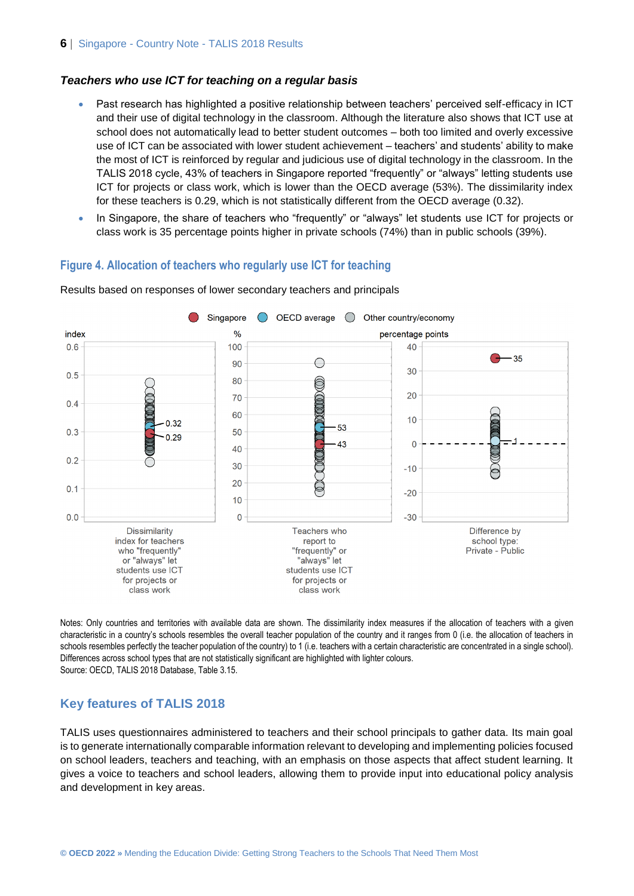#### *Teachers who use ICT for teaching on a regular basis*

- Past research has highlighted a positive relationship between teachers' perceived self-efficacy in ICT and their use of digital technology in the classroom. Although the literature also shows that ICT use at school does not automatically lead to better student outcomes – both too limited and overly excessive use of ICT can be associated with lower student achievement – teachers' and students' ability to make the most of ICT is reinforced by regular and judicious use of digital technology in the classroom. In the TALIS 2018 cycle, 43% of teachers in Singapore reported "frequently" or "always" letting students use ICT for projects or class work, which is lower than the OECD average (53%). The dissimilarity index for these teachers is 0.29, which is not statistically different from the OECD average (0.32).
- In Singapore, the share of teachers who "frequently" or "always" let students use ICT for projects or class work is 35 percentage points higher in private schools (74%) than in public schools (39%).

#### **Figure 4. Allocation of teachers who regularly use ICT for teaching**



Results based on responses of lower secondary teachers and principals

Notes: Only countries and territories with available data are shown. The dissimilarity index measures if the allocation of teachers with a given characteristic in a country's schools resembles the overall teacher population of the country and it ranges from 0 (i.e. the allocation of teachers in schools resembles perfectly the teacher population of the country) to 1 (i.e. teachers with a certain characteristic are concentrated in a single school). Differences across school types that are not statistically significant are highlighted with lighter colours. Source: OECD, TALIS 2018 Database, Table 3.15.

#### **Key features of TALIS 2018**

TALIS uses questionnaires administered to teachers and their school principals to gather data. Its main goal is to generate internationally comparable information relevant to developing and implementing policies focused on school leaders, teachers and teaching, with an emphasis on those aspects that affect student learning. It gives a voice to teachers and school leaders, allowing them to provide input into educational policy analysis and development in key areas.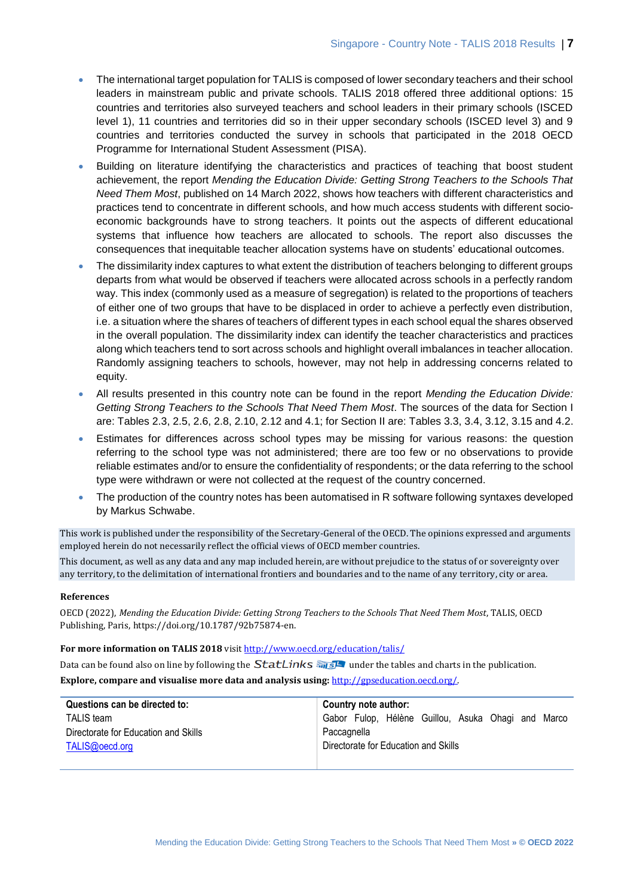- The international target population for TALIS is composed of lower secondary teachers and their school leaders in mainstream public and private schools. TALIS 2018 offered three additional options: 15 countries and territories also surveyed teachers and school leaders in their primary schools (ISCED level 1), 11 countries and territories did so in their upper secondary schools (ISCED level 3) and 9 countries and territories conducted the survey in schools that participated in the 2018 OECD Programme for International Student Assessment (PISA).
- Building on literature identifying the characteristics and practices of teaching that boost student achievement, the report *Mending the Education Divide: Getting Strong Teachers to the Schools That Need Them Most*, published on 14 March 2022, shows how teachers with different characteristics and practices tend to concentrate in different schools, and how much access students with different socioeconomic backgrounds have to strong teachers. It points out the aspects of different educational systems that influence how teachers are allocated to schools. The report also discusses the consequences that inequitable teacher allocation systems have on students' educational outcomes.
- The dissimilarity index captures to what extent the distribution of teachers belonging to different groups departs from what would be observed if teachers were allocated across schools in a perfectly random way. This index (commonly used as a measure of segregation) is related to the proportions of teachers of either one of two groups that have to be displaced in order to achieve a perfectly even distribution, i.e. a situation where the shares of teachers of different types in each school equal the shares observed in the overall population. The dissimilarity index can identify the teacher characteristics and practices along which teachers tend to sort across schools and highlight overall imbalances in teacher allocation. Randomly assigning teachers to schools, however, may not help in addressing concerns related to equity.
- All results presented in this country note can be found in the report *Mending the Education Divide: Getting Strong Teachers to the Schools That Need Them Most*. The sources of the data for Section I are: Tables 2.3, 2.5, 2.6, 2.8, 2.10, 2.12 and 4.1; for Section II are: Tables 3.3, 3.4, 3.12, 3.15 and 4.2.
- Estimates for differences across school types may be missing for various reasons: the question referring to the school type was not administered; there are too few or no observations to provide reliable estimates and/or to ensure the confidentiality of respondents; or the data referring to the school type were withdrawn or were not collected at the request of the country concerned.
- The production of the country notes has been automatised in R software following syntaxes developed by Markus Schwabe.

This work is published under the responsibility of the Secretary-General of the OECD. The opinions expressed and arguments employed herein do not necessarily reflect the official views of OECD member countries.

This document, as well as any data and any map included herein, are without prejudice to the status of or sovereignty over any territory, to the delimitation of international frontiers and boundaries and to the name of any territory, city or area.

#### **References**

OECD (2022), *Mending the Education Divide: Getting Strong Teachers to the Schools That Need Them Most*, TALIS, OECD Publishing, Paris, https://doi.org/10.1787/92b75874-en.

#### **For more information on TALIS 2018** visi[t http://www.oecd.org/education/talis/](http://www.oecd.org/education/talis/)

Data can be found also on line by following the  $StatLinks \frac{1}{\sqrt{2}}$  under the tables and charts in the publication.

**Explore, compare and visualise more data and analysis using:** [http://gpseducation.oecd.org/.](http://gpseducation.oecd.org/)

| Questions can be directed to:        | Country note author:                               |
|--------------------------------------|----------------------------------------------------|
| <b>TALIS</b> team                    | Gabor Fulop, Hélène Guillou, Asuka Ohagi and Marco |
| Directorate for Education and Skills | Paccagnella                                        |
| TALIS@oecd.org                       | Directorate for Education and Skills               |
|                                      |                                                    |